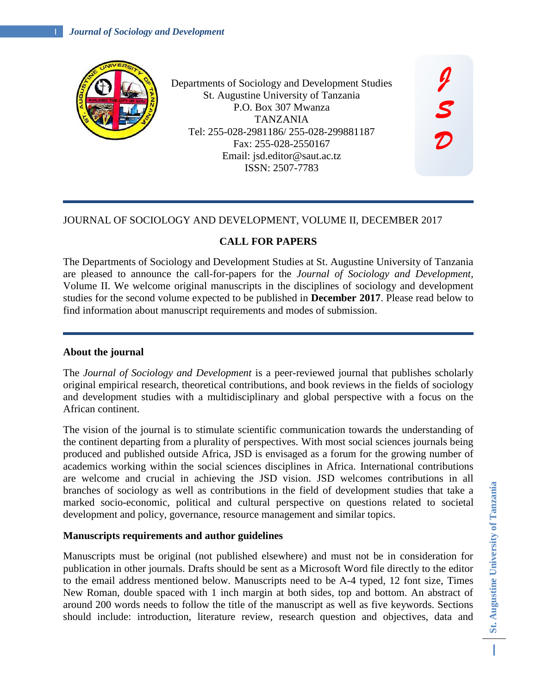

Departments of Sociology and Development Studies St. Augustine University of Tanzania P.O. Box 307 Mwanza TANZANIA Tel: 255-028-2981186/ 255-028-299881187 Fax: 255-028-2550167 Email: jsd.editor@saut.ac.tz ISSN: 2507-7783

## JOURNAL OF SOCIOLOGY AND DEVELOPMENT, VOLUME II, DECEMBER 2017

# **CALL FOR PAPERS**

The Departments of Sociology and Development Studies at St. Augustine University of Tanzania are pleased to announce the call-for-papers for the *Journal of Sociology and Development,*  Volume II. We welcome original manuscripts in the disciplines of sociology and development studies for the second volume expected to be published in **December 2017**. Please read below to find information about manuscript requirements and modes of submission.

## **About the journal**

The *Journal of Sociology and Development* is a peer-reviewed journal that publishes scholarly original empirical research, theoretical contributions, and book reviews in the fields of sociology and development studies with a multidisciplinary and global perspective with a focus on the African continent.

The vision of the journal is to stimulate scientific communication towards the understanding of the continent departing from a plurality of perspectives. With most social sciences journals being produced and published outside Africa, JSD is envisaged as a forum for the growing number of academics working within the social sciences disciplines in Africa. International contributions are welcome and crucial in achieving the JSD vision. JSD welcomes contributions in all branches of sociology as well as contributions in the field of development studies that take a marked socio-economic, political and cultural perspective on questions related to societal development and policy, governance, resource management and similar topics.

### **Manuscripts requirements and author guidelines**

Manuscripts must be original (not published elsewhere) and must not be in consideration for publication in other journals. Drafts should be sent as a Microsoft Word file directly to the editor to the email address mentioned below. Manuscripts need to be A-4 typed, 12 font size, Times New Roman, double spaced with 1 inch margin at both sides, top and bottom. An abstract of around 200 words needs to follow the title of the manuscript as well as five keywords. Sections should include: introduction, literature review, research question and objectives, data and

*J* 

*S* 

*D* 

I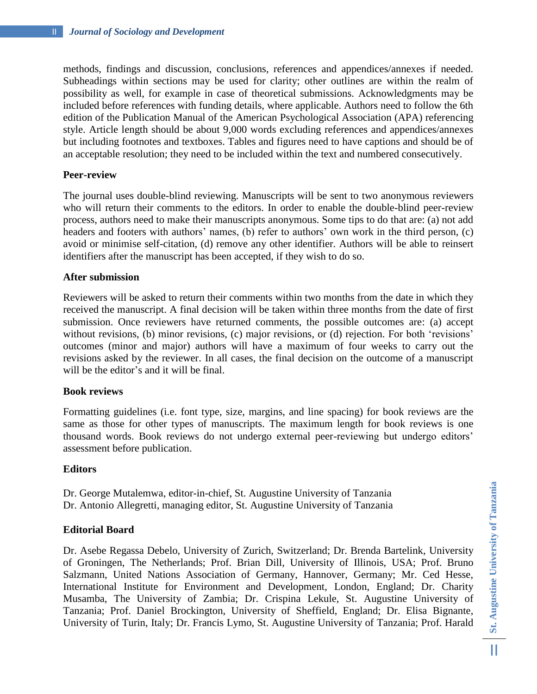methods, findings and discussion, conclusions, references and appendices/annexes if needed. Subheadings within sections may be used for clarity; other outlines are within the realm of possibility as well, for example in case of theoretical submissions. Acknowledgments may be included before references with funding details, where applicable. Authors need to follow the 6th edition of the Publication Manual of the American Psychological Association (APA) referencing style. Article length should be about 9,000 words excluding references and appendices/annexes but including footnotes and textboxes. Tables and figures need to have captions and should be of an acceptable resolution; they need to be included within the text and numbered consecutively.

## **Peer-review**

The journal uses double-blind reviewing. Manuscripts will be sent to two anonymous reviewers who will return their comments to the editors. In order to enable the double-blind peer-review process, authors need to make their manuscripts anonymous. Some tips to do that are: (a) not add headers and footers with authors' names, (b) refer to authors' own work in the third person, (c) avoid or minimise self-citation, (d) remove any other identifier. Authors will be able to reinsert identifiers after the manuscript has been accepted, if they wish to do so.

## **After submission**

Reviewers will be asked to return their comments within two months from the date in which they received the manuscript. A final decision will be taken within three months from the date of first submission. Once reviewers have returned comments, the possible outcomes are: (a) accept without revisions, (b) minor revisions, (c) major revisions, or (d) rejection. For both 'revisions' outcomes (minor and major) authors will have a maximum of four weeks to carry out the revisions asked by the reviewer. In all cases, the final decision on the outcome of a manuscript will be the editor's and it will be final.

### **Book reviews**

Formatting guidelines (i.e. font type, size, margins, and line spacing) for book reviews are the same as those for other types of manuscripts. The maximum length for book reviews is one thousand words. Book reviews do not undergo external peer-reviewing but undergo editors' assessment before publication.

### **Editors**

Dr. George Mutalemwa, editor-in-chief, St. Augustine University of Tanzania Dr. Antonio Allegretti, managing editor, St. Augustine University of Tanzania

### **Editorial Board**

Dr. Asebe Regassa Debelo, University of Zurich, Switzerland; Dr. Brenda Bartelink, University of Groningen, The Netherlands; Prof. Brian Dill, University of Illinois, USA; Prof. Bruno Salzmann, United Nations Association of Germany, Hannover, Germany; Mr. Ced Hesse, International Institute for Environment and Development, London, England; Dr. Charity Musamba, The University of Zambia; Dr. Crispina Lekule, St. Augustine University of Tanzania; Prof. Daniel Brockington, University of Sheffield, England; Dr. Elisa Bignante, University of Turin, Italy; Dr. Francis Lymo, St. Augustine University of Tanzania; Prof. Harald